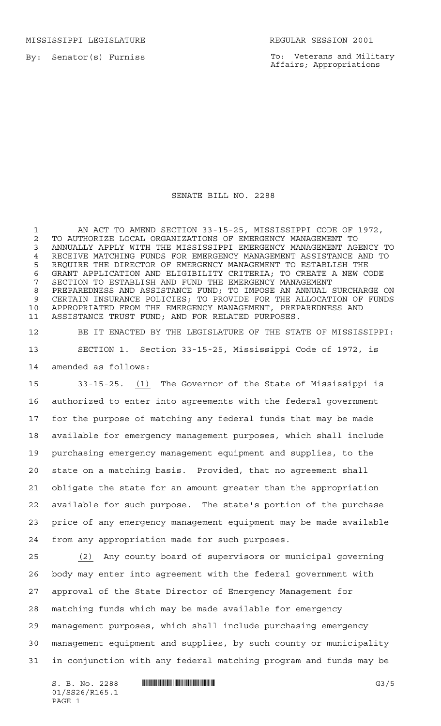MISSISSIPPI LEGISLATURE **REGULAR SESSION 2001** 

By: Senator(s) Furniss

To: Veterans and Military Affairs; Appropriations

## SENATE BILL NO. 2288

 AN ACT TO AMEND SECTION 33-15-25, MISSISSIPPI CODE OF 1972, 2 TO AUTHORIZE LOCAL ORGANIZATIONS OF EMERGENCY MANAGEMENT TO<br>3 ANNUALLY APPLY WITH THE MISSISSIPPI EMERGENCY MANAGEMENT AGI ANNUALLY APPLY WITH THE MISSISSIPPI EMERGENCY MANAGEMENT AGENCY TO RECEIVE MATCHING FUNDS FOR EMERGENCY MANAGEMENT ASSISTANCE AND TO REQUIRE THE DIRECTOR OF EMERGENCY MANAGEMENT TO ESTABLISH THE GRANT APPLICATION AND ELIGIBILITY CRITERIA; TO CREATE A NEW CODE SECTION TO ESTABLISH AND FUND THE EMERGENCY MANAGEMENT PREPAREDNESS AND ASSISTANCE FUND; TO IMPOSE AN ANNUAL SURCHARGE ON CERTAIN INSURANCE POLICIES; TO PROVIDE FOR THE ALLOCATION OF FUNDS APPROPRIATED FROM THE EMERGENCY MANAGEMENT, PREPAREDNESS AND ASSISTANCE TRUST FUND; AND FOR RELATED PURPOSES.

 BE IT ENACTED BY THE LEGISLATURE OF THE STATE OF MISSISSIPPI: SECTION 1. Section 33-15-25, Mississippi Code of 1972, is amended as follows:

 33-15-25. (1) The Governor of the State of Mississippi is authorized to enter into agreements with the federal government for the purpose of matching any federal funds that may be made available for emergency management purposes, which shall include purchasing emergency management equipment and supplies, to the state on a matching basis. Provided, that no agreement shall obligate the state for an amount greater than the appropriation available for such purpose. The state's portion of the purchase price of any emergency management equipment may be made available from any appropriation made for such purposes.

 (2) Any county board of supervisors or municipal governing body may enter into agreement with the federal government with approval of the State Director of Emergency Management for matching funds which may be made available for emergency management purposes, which shall include purchasing emergency management equipment and supplies, by such county or municipality in conjunction with any federal matching program and funds may be

01/SS26/R165.1 PAGE 1

S. B. No. 2288 \*SS26/R165.1\* G3/5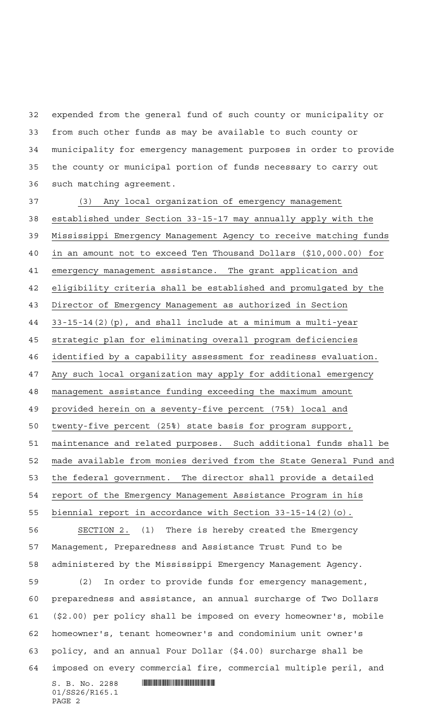expended from the general fund of such county or municipality or from such other funds as may be available to such county or municipality for emergency management purposes in order to provide the county or municipal portion of funds necessary to carry out such matching agreement.

 $S. B. No. 2288$  . The set of the set of  $S. B. N_{O.}$  (3) Any local organization of emergency management established under Section 33-15-17 may annually apply with the Mississippi Emergency Management Agency to receive matching funds in an amount not to exceed Ten Thousand Dollars (\$10,000.00) for emergency management assistance. The grant application and eligibility criteria shall be established and promulgated by the Director of Emergency Management as authorized in Section 33-15-14(2)(p), and shall include at a minimum a multi-year strategic plan for eliminating overall program deficiencies identified by a capability assessment for readiness evaluation. Any such local organization may apply for additional emergency management assistance funding exceeding the maximum amount provided herein on a seventy-five percent (75%) local and twenty-five percent (25%) state basis for program support, maintenance and related purposes. Such additional funds shall be made available from monies derived from the State General Fund and the federal government. The director shall provide a detailed report of the Emergency Management Assistance Program in his biennial report in accordance with Section 33-15-14(2)(o). SECTION 2. (1) There is hereby created the Emergency Management, Preparedness and Assistance Trust Fund to be administered by the Mississippi Emergency Management Agency. (2) In order to provide funds for emergency management, preparedness and assistance, an annual surcharge of Two Dollars (\$2.00) per policy shall be imposed on every homeowner's, mobile homeowner's, tenant homeowner's and condominium unit owner's policy, and an annual Four Dollar (\$4.00) surcharge shall be imposed on every commercial fire, commercial multiple peril, and

01/SS26/R165.1 PAGE 2